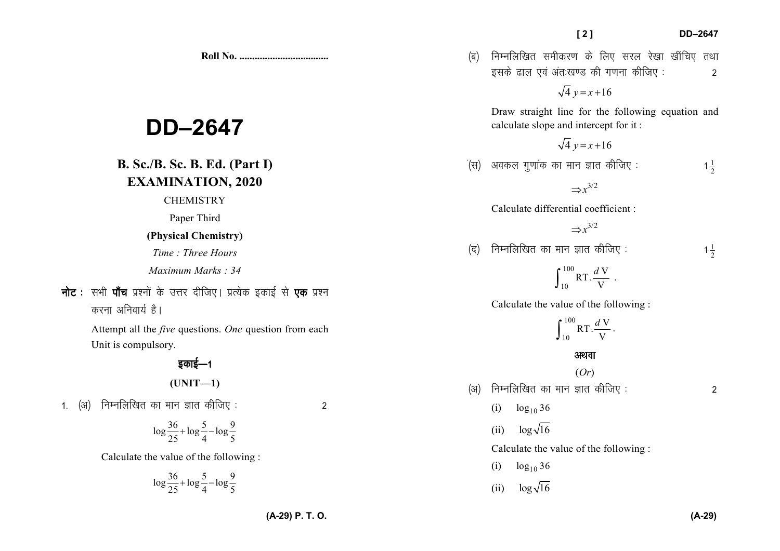$\log \frac{36}{25} + \log \frac{5}{4} - \log \frac{9}{5}$ 

## $\log \frac{36}{25} + \log \frac{5}{4} - \log \frac{9}{5}$

Calculate the value of the following :

1. (अ) निम्नलिखित का मान ज्ञात कीजिए :  $\sim$  2

Unit is compulsory.

## डकाई—1 **(UNIT—1)**

- *Time : Three Hours Maximum Marks : 34*
- **नोट** : सभी **पाँच** प्रश्नों के उत्तर दीजिए। प्रत्येक इकाई से **एक** प्रश्न

करना अनिवार्य है।

Attempt all the *five* questions. *One* question from each

# **DD–2647**

**B. Sc./B. Sc. B. Ed. (Part I)** 

## **EXAMINATION, 2020**

**CHEMISTRY** 

## **(Physical Chemistry)**

**Roll No. ...................................** 

## Paper Third

10Calculate the value of the following :

RT. $\frac{d\,\mathrm{V}}{\mathrm{V}}$  $\int_{10}^{100} RT \cdot \frac{dV}{V}$ .

$$
\int_{10}^{100} RT \cdot \frac{dV}{V}.
$$

## अथवा (*Or*)

- $(x)$  निम्नलिखित का मान ज्ञात कीजिए :  $(3)$ 
	- (i)  $\log_{10} 36$
	- (ii)  $\log \sqrt{16}$

Calculate the value of the following :

- (i)  $\log_{10} 36$
- (ii)  $\log \sqrt{16}$

## calculate slope and intercept for it :

 $\dot{A}$ (स) अवकल गुणांक का मान ज्ञात कीजिए:  $1\frac{1}{2}$ 

 $\sqrt{4} y = x + 16$ 

 $\sqrt{4} y = x + 16$ 

Draw straight line for the following equation and

 $\Rightarrow$  $x^{3/2}$ 

Calculate differential coefficient :

$$
\Rightarrow
$$
  $x^{3/2}$ 

 $(q)$  निम्नलिखित का मान ज्ञात कीजिए:

100

 $1\frac{1}{2}$ 

(ब) निम्नलिखित समीकरण के लिए सरल रेखा खींचिए तथा इसके ढाल एवं अंतःखण्ड की गणना कीजिए :  $\hspace{1.6cm}$  2

 **[ 2 ] DD–2647**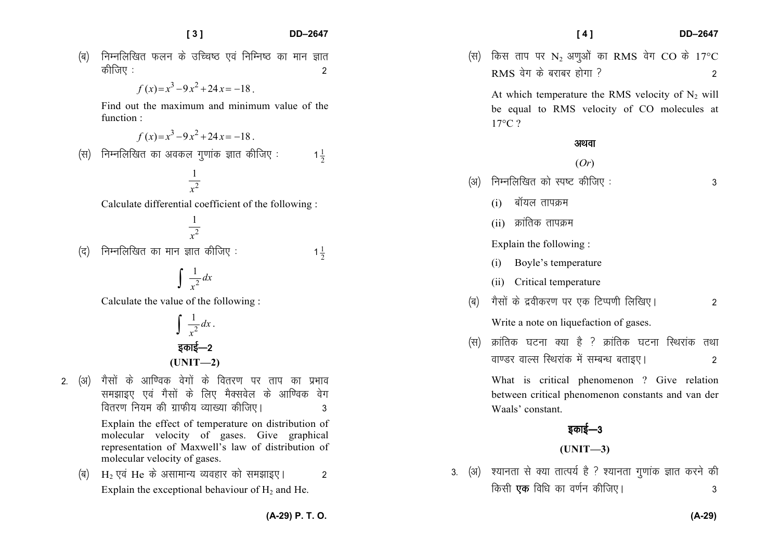$\frac{1}{2}$ 

 $\frac{1}{2}$ 

- (ब) निम्नलिखित फलन के उच्चिष्ठ एवं निम्निष्ठ का मान ज्ञात कीजिए :  $\sim$  2011  $\sim$  2011  $\sim$  2011  $\sim$  2011  $\sim$  2011  $\sim$  2011  $\sim$  2011  $\sim$  2011  $\sim$  2011  $\sim$  2011  $\sim$  2011  $\sim$  2011  $\sim$  2011  $\sim$  2011  $\sim$  2011  $\sim$  2011  $\sim$  2011  $\sim$  2011  $\sim$  2011  $\sim$  2011  $\sim$  2011  $\$ 
	- $f(x)=x^3-9x^2+24x=-18$

Find out the maximum and minimum value of the function :

$$
f(x)=x^3-9x^2+24x=-18.
$$

 $\mathcal{L}(\mathfrak{A})$  निम्नलिखित का अवकल गुणांक ज्ञात कीजिए :

2 $\frac{1}{x^2}$ 

Calculate differential coefficient of the following :

$$
\frac{1}{x^2}
$$

 $($ द) निम्नलिखित का मान ज्ञात कीजिए:

## $\mathfrak{D}$  $\int \frac{1}{x^2} dx$

Calculate the value of the following :

$$
\int \frac{1}{x^2} dx
$$
  
def=2  
(UNIT-2)

2. (अ) गैसों के आण्विक वेगों के वितरण पर ताप का प्रभाव समझाइए एवं गैसों के लिए मैक्सवेल के आण्विक वेग forj.k fu;e dh xzkQh; O;k[;k dhft,A 3

> Explain the effect of temperature on distribution of molecular velocity of gases. Give graphical representation of Maxwell's law of distribution of molecular velocity of gases.

 $\overline{q}$  $\rm{H}_{2}$  एवं  $\rm{He}$  के असामान्य व्यवहार को समझाइए ।  $\rm{M}_{2}$ Explain the exceptional behaviour of  $H_2$  and He.

(स) किस ताप पर  $\mathrm{N}_2$  अणुओं का  $\mathrm{RMS}$  वेग  $\mathrm{CO}$  के 17°C  $RMS$  वेग के बराबर होगा ?

At which temperature the RMS velocity of  $N_2$  will be equal to RMS velocity of CO molecules at 17°C ?

### अथवा

### (*Or*)

- ¼v½ fuEufyf[kr dks Li"V dhft, % 3
	- $(i)$  बॉयल तापक्रम
	- $(ii)$  क्रांतिक तापक्रम

Explain the following :

- (i) Boyle's temperature
- (ii) Critical temperature
- (ब) गैसों के द्रवीकरण पर एक टिप्पणी लिखिए।  $\overline{\phantom{a}}$

Write a note on liquefaction of gases.

 $(\text{H})$  क्रांतिक घटना क्या है ? क्रांतिक घटना स्थिरांक तथा ok.Mj okYl fLFkjkad esa lEcU/k crkb,A 2

What is critical phenomenon ? Give relation between critical phenomenon constants and van der Waals' constant.

## डकाई—3

**(UNIT—3)** 

3. (अ) श्यानता से क्या तात्पर्य है ? श्यानता गणांक ज्ञात करने की fdlh ,d fof/k dk o.kZu dhft,A 3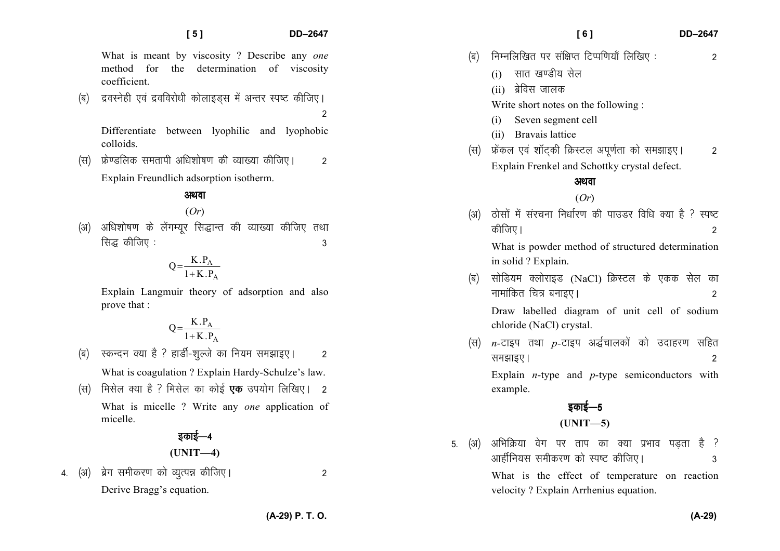What is meant by viscosity ? Describe any *one* method for the determination of viscosity coefficient.

(ब) द्रवस्नेही एवं द्रवविरोधी कोलाइडस में अन्तर स्पष्ट कीजिए।

2

Differentiate between lyophilic and lyophobic colloids.

¼l½ Ýs.Mfyd lerkih vf/k'kks"k.k dh O;k[;k dhft,A 2 Explain Freundlich adsorption isotherm.

अथवा

## (*Or*)

(अ) अधिशोषण के लेंगम्यर सिद्धान्त की व्याख्या कीजिए तथा  $\frac{1}{3}$  कीजिए :

$$
Q = \frac{K.P_A}{1+K.P_A}
$$

Explain Langmuir theory of adsorption and also prove that :

$$
Q = \frac{K.P_A}{1+K.P_A}
$$

- (ब) स्कन्दन क्या है ? हार्डी-शुल्जे का नियम समझाइए। 2 What is coagulation ? Explain Hardy-Schulze's law.
- (स) मिसेल क्या है ? मिसेल का कोई **एक** उपयोग लिखिए। 2 What is micelle ? Write any *one* application of

## डकाई—4

$$
(UNIT-4)
$$

4- ¼v½ czsx lehdj.k dks O;qRié dhft,A 2 Derive Bragg's equation.

micelle.

 **[ 6 ] DD–2647** 

- $\vert$ (ब) निम्नलिखित पर संक्षिप्त टिप्पणियाँ लिखिए :  $\hspace{1.6cm}$  2
	- $(i)$  सात खण्डीय सेल
	- $(ii)$  ब्रेविस जालक

Write short notes on the following :

- Seven segment cell
- (ii) Bravais lattice
- ¼l½ Ýsady ,oa 'kkWV~dh fØLVy viw.kZrk dks le>kb,A 2Explain Frenkel and Schottky crystal defect.

### अथवा

## (*Or*)

(अ) दोसों में संरचना निर्धारण की पाउडर विधि क्या है ? स्पष्ट कीजिए ।  $\overline{\phantom{a}}$ What is powder method of structured determination

in solid ? Explain.

(ब) सोडियम क्लोराइड (NaCl) क्रिस्टल के एकक सेल का ukekafdr fp= cukb,A 2

Draw labelled diagram of unit cell of sodium chloride (NaCl) crystal.

(स) *n*-टाइप तथा *p*-टाइप अर्द्धचालकों को उदाहरण सहित le>kb,A 2 Explain *n*-type and *p*-type semiconductors with example.

## डकाई $-5$

**(UNIT—5)** 

5. (अ) अभिक्रिया वेग पर ताप का क्या प्रभाव पडता है ? vkghZfu;l lehdj.k dks Li"V dhft,A 3

What is the effect of temperature on reaction velocity ? Explain Arrhenius equation.

**(A-29) P. T. O.**

**(A-29)**